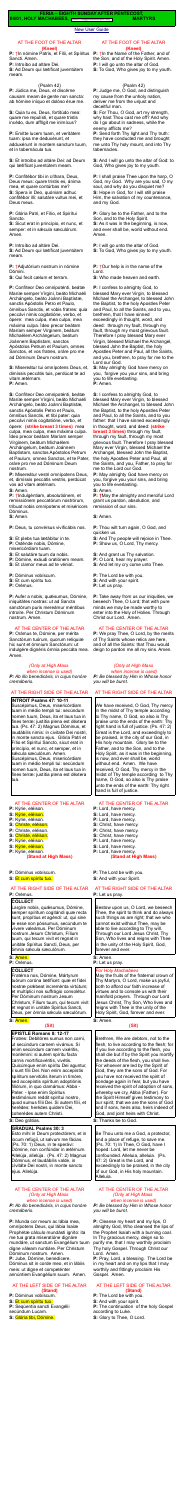#### [New User Guide](http://www.extraordinaryform.org/masses/NewUserGuide.pdf)

**FERIA – EIGHTH SUNDAY AFTER PENTECOST, 08/01, HOLY MACHABEES,** Errors? [help@extraordinaryform.org](mailto:help@extraordinaryform.org) **MARTYRS** 

#### AT THE FOOT OF THE ALTAR **(Kneel)**

**P:** †In nómine Patris, et Fílii, et Spíritus Sancti. Amen.

**P:** Introíbo ad altáre Dei.

**S:** Ad Deum qui lætíficat juventútem meam.

#### (Psalm 42)

**P:** Júdica me, Deus, et discérne causam meam de gente non sancta: ab hómine iníquo et dolóso érue me.

**S:** Quia tu es, Deus, fortitúdo mea: quare me repulísti, et quare tristis incédo, dum afflígit me inimícus?

**P:** Emítte lucem tuam, et veritátem tuam: ipsa me deduxérunt, et adduxérunt in montem sanctum tuum, et in tabernácula tua.

**S:** Et introíbo ad altáre Dei: ad Deum qui lætíficat juventútem meam.

**P:** Confitébor tibi in cíthara, Deus, Deus meus: quare tristis es, ánima mea, et quare contúrbas me? **S:** Spera in Deo, quóniam adhuc confitébor illi: salutáre vultus mei, et Deus meus.

**P:** Glória Patri, et Fílio, et Spirítui Sancto.

**S:** Sicut erat in princípio, et nunc, et semper: et in sæcula sæculórum. Amen.

**P:** Introíbo ad altáre Dei.

**S:** Ad Deum qui lætíficat juventútem meam.

**P:** †Adjutórium nostrum in nómine Dómini.

**S:** Qui fecit cælum et terram.

**P:** Confíteor Deo omnipoténti, beátæ Maríæ semper Vírgini, beáto Michaéli Archángelo, beáto Joánni Baptístæ, sanctis Apóstolis Petro et Paulo, ómnibus Sanctis, et vobis fratres: quia peccávi nimis cogitatióne, verbo, et ópere: mea culpa, mea culpa, mea máxima culpa. Ídeo precor beátam Maríam semper Vírginem, beátum Michaélem Archángelum, beátum Joánnem Baptístam, sanctos Apóstolos Petrum et Paulum, omnes Sanctos, et vos fratres, oráre pro me ad Dóminum Deum nostrum.

**P:** Aufer a nobis, quésumus, Dómine, iniquitátes nostras: ut ad Sancta sanctórum puris mereámur méntibus introíre. Per Christum Dóminum nostrum. Amen.

**S:** Misereátur tui omnípotens Deus, et, dimíssis peccátis tuis, perdúcat te ad

vitam ætérnam. **P:** Amen.

**S:** Confíteor Deo omnipoténti, beátæ Maríæ semper Vírgini, beáto Michaéli Archángelo, beáto Joánni Baptistæ, sanctis Apóstolis Petro et Paulo, ómnibus Sanctis, et tibi pater: quia peccávi nimis cogitatióne, verbo, et ópere: **(strike breast 3 times)** mea culpa, mea culpa, mea máxima culpa. Ídeo precor beátam Maríam semper Vírginem, beátum Michaélem Archángelum, beátum Joánnem Baptístam, sanctos Apóstolos Petrum et Paulum, omnes Sanctos, et te Pater, oráre pro me ad Dóminum Deum nostrum.

Fratérna nos, Dómine, Mártyrum tuórum coróna lætíficet: quæ et fídei nostræ prǽbeat increménta virtútum; et multíplici nos suffrágio consolétur. Per Dóminum nostrum Jesum Christum, Fílium tuum, qui tecum vivit et regnat in unitáte Spíritus Sancti, Deus, per ómnia sæcula sæculórum.

**P:** Misereátur vestri omnípotens Deus, et, dimíssis peccátis vestris, perdúcat vos ad vitam ætérnam.

**S:** Amen.

**P:** †Indulgéntiam, absolutiónem, et remissiónem peccatórum nostrórum, tríbuat nobis omnípotens et miséricors Dóminus.

**S:** Amen.

**P:** Deus, tu convérsus vivificábis nos.

- **S:** Et plebs tua lætábitur in te.
- **P:** Osténde nobis, Dómine,

misericórdiam tuam.

- **S:** Et salutáre tuum da nobis.
- **P:** Dómine, exáudi oratiónem meam.
- **S:** Et clamor meus ad te véniat.

**P:** Dóminus vobíscum.

- **S:** Et cum spíritu tuo.
- **P:** Orémus.

# AT THE CENTER OF THE ALTAR

**P:** Orámus te, Dómine, per mérita Sanctórum tuórum, quorum relíquiæ hic sunt et ómnium Sanctórum: ut indulgére dignéris ómnia peccáta mea. Amen.

*(Only at High Mass* 

*when incense is used) P: Ab illo benedicáris, in cujus honóre cremáberis.*

**P:**  $\dagger$ In the Name of the Father, and of the Son, and of the Holy Spirit. Amen. **P:** I will go unto the altar of God. **S:** To God, Who gives joy to my youth.

### AT THE RIGHT SIDE OF THE ALTAR

**INTROIT Psalms 47: 10-11** Suscépimus, Deus, misericórdiam tuam in médio templi tui: secúndum nomen tuum, Deus, ita et laus tua in fines terræ: justítia plena est déxtera tua. (Ps. 47: 2) Magnus Dóminus, et laudábilis nimis: in civitate Dei nostri, in monte sancto ejus. Glória Patri et Fílio et Spirítui Sancto, sicut erat in princípio, et nunc, et semper, et in sǽcula sæculórum. Amen. Suscépimus, Deus, misericórdiam tuam in médio templi tui: secúndum nomen tuum, Deus, ita et laus tua in fines terræ: justítia plena est déxtera tua.

## AT THE CENTER OF THE ALTAR

- **P:** Kýrie, eléison.
- **S:** Kýrie, eléison.
- **P:** Kýrie, eléison.
- **S:** Christe, eléison.
- **P:** Christe, eléison.
- **S:** Christe, eléison.
- **P:** Kýrie, eléison.
- **S:** Kýrie, eléison.
- **P:** Kýrie, eléison.

**(Stand at High Mass)**

- **P:** Dóminus vobíscum.
- **S:** Et cum spíritu tuo.

#### AT THE RIGHT SIDE OF THE ALTAR **P:** Orémus.

### **COLLECT**

Largíre nobis, quésumus, Dómine, semper spíritum cogitándi quæ recta sunt, propítius et agéndi: ut, qui sine te esse non póssumus, secúndum te vívere valeámus. Per Dóminum nostrum Jesum Christum, Fílium tuum, qui tecum vivit et regnat in unitáte Spíritus Sancti, Deus, per ómnia sæcula sæculórum.

### **S:** Amen.

**P:** Orémus.

### **COLLECT**

#### **S:** Amen.

# **(Sit)**

# **EPISTLE Romans 8: 12-17**

Fratres: Debitóres sumus non carni, ut secúndum carnem vivámus. Si enim secúndum carnem vixéritis, moriémini: si autem spíritu facta carnis mortificavéritis, vivétis. Quicúmque enim spíritu Dei aguntur, ii sunt fílii Dei. Non enim accepístis spíritum servitútis íterum in timóre, sed accepístis spíritum adoptiónis filiórum, in quo clamámus: Abba - Pater. - Ipse enim Spíritus testimónium reddit spirítui nostro, quod sumus fílii Dei. Si autem fílii, et herédes: herédes quidem Dei, coherédes autem Christi.

We have received, O God, Thy mercy in the midst of Thy temple according to Thy name, O God, so also is Thy praise unto the ends of the earth: Thy right hand is full of justice. (Ps. 47: 2) Great is the Lord, and exceedingly to be praised, in the city of our God, in His holy mountain. Glory be to the Father, and to the Son, and to the Holy Spirit, as it was in the beginning, is now, and ever shall be, world without end. Amen. We have received, O God, Thy mercy in the midst of Thy temple according to Thy name, O God, so also is Thy praise unto the ends of the earth: Thy right hand is full of justice.

## AT THE RIGHT SIDE OF THE ALTAR **P:** Let us pray.

# **S:** Deo grátias.

### **GRADUAL Psalms 30: 3**

Esto mihi in Deum protectórem, et in locum refúgii, ut salvum me fácias. (Ps. 70: 1) Deus, in te sperávi: Dómine, non confúndar in ætérnum. Allelúja, allelúja. (Ps. 47: 2) Magnus Dóminus, et laudábilis valde, in cìvitáte Dei nostri, in monte sancto ejus. Allelúja.

#### AT THE CENTER OF THE ALTAR *(Only at High Mass when incense is used) P: Ab illo benedicáris, in cujus honóre cremáberis.*

**P:** Munda cor meum ac lábia mea, omnípotens Deus, qui lábia Isaíæ Prophétæ cálculo mundásti igníto: ita me tua grata miseratióne dignáre mundáre, ut sanctum Evangélium tuum digne váleam nuntiáre. Per Christum Dóminum nostrum. Amen. **P:** Jube, Dómine, benedícere. Dóminus sit in corde meo, et in lábiis meis: ut digne et competénter annúntiem Evangélium suum. Amen.

#### AT THE LEFT SIDE OF THE ALTAR **(Stand)**

**P:** Dóminus vobíscum. **S:** Et cum spíritu tuo. **P:** Seqúentia sancti Evangélii secúndum Lucam. **S:** Glória tibi, Dómine.

### AT THE FOOT OF THE ALTAR **(Kneel)**

#### (Psalm 42)

**P:** Judge me, O God, and distinguish my cause from the unholy nation, deliver me from the unjust and deceitful man.

**S:** For Thou, O God, art my strength, why hast Thou cast me off? And why do I go about in sadness, while the enemy afflicts me?

**P:** Send forth Thy light and Thy truth: they have conducted me and brought me unto Thy holy mount, and into Thy tabernacles.

**S:** And I will go unto the altar of God: to God, Who gives joy to my youth.

**P:** I shall praise Thee upon the harp, O God, my God. Why are you sad, O my soul, and why do you disquiet me? **S:** Hope in God, for I will still praise Him, the salvation of my countenance, and my God.

**P:** Glory be to the Father, and to the Son, and to the Holy Spirit. **S:** As it was in the beginning, is now, and ever shall be, world without end. Amen.

**P:** I will go unto the altar of God. **S:** To God, Who gives joy to my youth.

**P:** †Our help is in the name of the Lord.

**S:** Who made heaven and earth.

**P:** I confess to almighty God, to blessed Mary ever Virgin, to blessed Michael the Archangel, to blessed John the Baptist, to the holy Apostles Peter and Paul, to all the Saints, and to you, brethren, that I have sinned exceedingly in thought, word, and deed: through my fault, through my fault, through my most grievous fault. Therefore I pray blessed Mary ever Virgin, blessed Michael the Archangel, blessed John the Baptist, the holy Apostles Peter and Paul, all the Saints, and you, brethren, to pray for me to the Lord our God.

**S:** May almighty God have mercy on you, forgive you your sins, and bring you to life everlasting. **P:** Amen.

**S:** I confess to almighty God, to blessed Mary ever Virgin, to blessed Michael the Archangel, to blessed John the Baptist, to the holy Apostles Peter and Paul, to all the Saints, and to you father: that I have sinned exceedingly in thought, word, and deed: **(strike breast 3 times)** through my fault, through my fault, through my most grievous fault. Therefore I pray blessed Mary ever Virgin, blessed Michael the Archangel, blessed John the Baptist, the holy Apostles Peter and Paul, all the Saints, and you, Father, to pray for me to the Lord our God.

**P:** May almighty God have mercy on you, forgive you your sins, and bring you to life everlasting. **S:** Amen.

**P: †**May the almighty and merciful Lord grant us pardon, absolution, and remission of our sins.

**S:** Amen.

**P:** Thou wilt turn again, O God, and quicken us.

- **S:** And Thy people will rejoice in Thee.
- **P:** Show us, O Lord, Thy mercy.
- **S:** And grant us Thy salvation.
- **P:** O Lord, hear my prayer.
- **S:** And let my cry come unto Thee.
- **P:** The Lord be with you.
- **S:** And with your spirit.
- **P:** Let us pray.

**P:** Take away from us our iniquities, we beseech Thee, O Lord; that with pure minds we may be made worthy to enter into the Holy of Holies. Through Christ our Lord. Amen.

### AT THE CENTER OF THE ALTAR

**P:** We pray Thee, O Lord, by the merits of Thy Saints whose relics are here, and of all the Saints: that Thou would deign to pardon me all my sins. Amen.

# *(Only at High Mass*

 *when incense is used)*

*P: Be blessed by Him in Whose honor you will be burnt.*

# AT THE RIGHT SIDE OF THE ALTAR

# AT THE CENTER OF THE ALTAR

- **P:** Lord, have mercy.
- **S:** Lord, have mercy.
- **P:** Lord, have mercy.
- **S:** Christ, have mercy.
- **P:** Christ, have mercy.
- **S:** Christ, have mercy.
- **P:** Lord, have mercy.
- **S:** Lord, have mercy. **P:** Lord, have mercy.

# **(Stand at High Mass)**

**P:** The Lord be with you.

**S:** And with your Spirit.

Bestow upon us, O Lord, we beseech Thee, the spirit to think and do always such things as are right; that we who cannot exist without Thee, may be able to live according to Thy will. Through our Lord Jesus Christ, Thy Son, Who lives and reigns with Thee in the unity of the Holy Spirit, God, forever and ever.

# **S:** Amen.

# **P:** Let us pray.

# *For Holy Machabees*

May the fruits of the fraternal crown of Thy Martyrs, O Lord, make us joyful, both to afford our faith increase of virtues and to console us with their manifold prayers. Through our Lord Jesus Christ, Thy Son, Who lives and reigns with Thee in the unity of the Holy Spirit, God, forever and ever.

### **S: Amen.**

# **(Sit)**

Brethren, We are debtors, not to the flesh, to live according to the flesh; for if you live according to the flesh, you shall die but if by the Spirit you mortify the deeds of the flesh, you shall live. For whoever are led by the Spirit of God, they are the sons of God. For you have not received the spirit of bondage again in fear, but you have received the spirit of adoption of sons, whereby we cry, Abba (Father). For the Spirit Himself gives testimony to our spirit, that we are the sons of God and if sons, heirs also, heirs indeed of God, and joint heirs with Christ.

**S:** Thanks be to God.

Be Thou unto me a God, a protector, and a place of refuge, to save me. (Ps. 70: 1) In Thee, O God, have I hoped: Lord, let me never be confounded. Alleluia, alleluia. (Ps. 47: 2) Great is the Lord, and exceedingly to be praised, in the city of our God, in His holy mountain. Alleluia.

## AT THE CENTER OF THE ALTAR *(Only at High Mass when incense is used)*

*P: Be blessed by Him in Whose honor you will be burnt.*

**P:** Cleanse my heart and my lips, O almighty God, Who cleansed the lips of the Prophet Isaiah with a burning coal. In Thy gracious mercy, deign so to purify me, that I may worthily proclaim Thy holy Gospel. Through Christ our Lord. Amen.

**P:** Pray, Lord, a blessing. The Lord be in my heart and on my lips that I may worthily and fittingly proclaim His Gospel. Amen.

### AT THE LEFT SIDE OF THE ALTAR **(Stand)**

**P:** The Lord be with you. **S:** And with your spirit. **P:** The continuation of the holy Gospel according to Luke. **S:** Glory to Thee, O Lord.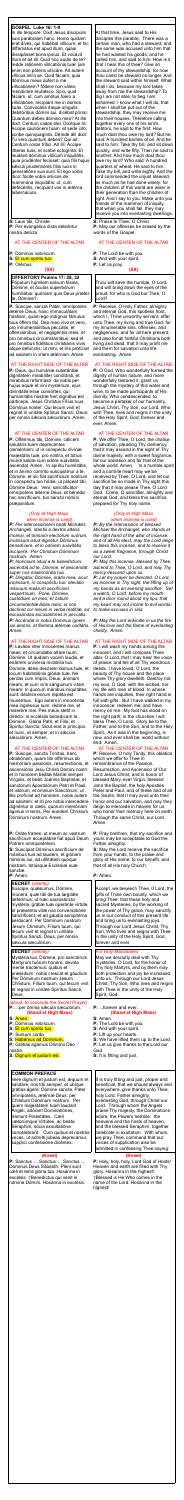### **GOSPEL Luke 16: 1-9**

In illo témpore: Dixit Jesus discípulis suis parábolam hanc: Homo quidam erat dives, qui habébat víllicum: et hic diffamátus est apud illum, quasi dissipásset bona ipsíus. Et vocávit illum et ait illi: Quid hoc audio de te? redde ratiónem villicatiónis tuæ: jam enim non póteris villicáre. Ait autem víllicus intra se: Quid fáciam, quia dóminus meus aufert a me villicatiónem? fódere non váleo, mendicáre erubésco. Scio, quid fáciam, ut, cum amótus fúero a villicatióne, recípiant me in domos suas. Convocátis itaque síngulis debitóribus dómini sui, dicébat primo: Quantum debes dómino meo? At ille dixit: Centum cados ólei. Dixítque illi: Accipe cautiónem tuam: et sede cito, scribe quinquagínta. Deínde álii dixit: Tu vero quantum debes? Qui ait: Centum coros trítici. Ait illi: Áccipe lítteras tuas, et scribe octogínta. Et laudávit dóminus víllicum iniquitátis, quia prudénter fecísset: quia fílii hujus sæculi prudentióres fíliis lucis in generatióne sua sunt. Et ego vobis dico: fácite vobis amicos de mammóna iniquitátis: ut, cum defecéritis, recípiant vos in ætérna tabernácula.

**S:** Laus tibi, Christe. **P:** Per evangélica dicta deleántur nostra delícta.

### AT THE CENTER OF THE ALTAR

- **P:** Dóminus vobíscum.
- **S:** Et cum spíritu tuo.
- **P:** Orémus.

#### **(Sit)**

**OFFERTORY Psalms 17: 28, 32**  Pópulum húmilem salvum fácies, Dómine, et óculos superbórum humiliábis: quóniam quis Deus præter te, Dómine?

**P:** Súscipe, sancte Pater, omnípotens ætérne Deus, hanc immaculátam hóstiam, quam ego indígnus fámulus tuus óffero tibi, Deo meo vivo et vero, pro innumerabílibus peccátis, et offensiónibus, et negligéntiis meis, et pro ómnibus circumstántibus, sed et pro ómnibus fidélibus christiánis vivis atque defúnctis: ut mihi, et illis profíciat ad salútem in vitam ætérnam. Amen.

AT THE RIGHT SIDE OF THE ALTAR

**P:** Deus, qui humánæ substántiæ

dignitátem mirabíliter condidísti, et mirabílius reformásti: da nobis per hujus aquæ et vini mystérium, ejus divinitátis esse consórtes, qui humanitátis nostræ fíeri dignátus est párticeps, Jesus Christus Fílius tuus Dóminus noster: Qui tecum vivit et regnat in unitáte Spíritus Sancti, Deus: per ómnia sǽcula sæculórum. Amen.

### AT THE CENTER OF THE ALTAR

**P:** Offérimus tibi, Dómine, cálicem salutáris tuam deprecántes cleméntiam: ut in conspéctu divínæ majestátis tuæ, pro nostra, et totíus mundi salúte cum odóre suavitátis ascéndat. Amen. In spíritu humilitátis, et in ánimo contríto suscipiámur a te, Dómine, et sic fiat sacrifícium nostrum in conspéctu tuo hódie, ut pláceat tibi, Dómine Deus. Veni, sanctificátor omnípotens ætérne Deus: et bénedic hoc sacrifícium, tuo sancto nómini præparátum.

### *(Only at High Mass when incense is used)*

*P: Per intercessiónem beáti Michǽlis Archángeli, stantis a dextris altáris incénsi, et ómnium electórum suórum, incénsum istud dignétur Dóminus benedícere, et in odórem suavitátis accípere. Per Christum Dóminum nostrum. Amen.*

**P:** Sanctus *a*, Sanctus *a*, Sanctus *a*, Dóminus Deus Sábaoth. Pleni sunt cæli et terra glória tua. Hosánna in excélsis. †Benedíctus qui venit in nómine Dómini. Hosánna in excélsis.

*P: Incénsum istud a te benedíctum, ascéndat ad te, Dómine, et descéndat super nos misericórdia tua. P: Dirigátur, Dómine, orátio mea, sicut incénsum, in conspéctu tuo: elev*á*tio m*á*nuum me*á*rum sacrifícium vespertínum. Pone, Dómine, custódiam ori meo, et óstium circumstántiæ l*á*biis meis: ut non declínet cor meum in verba malítiæ, ad excusándas excusatiónes in peccátis. P: Accéndat in nobis Dóminus ignem sui amóris, et flamma ætérnæ caritátis. Amen.*

### AT THE RIGHT SIDE OF THE ALTAR

**P:** Lavábo inter innocéntes manus meas: et circumdábo altáre tuum, Dómine: Ut áudiam vocem laudis, et enárrem univérsa mirabília tua. Dómine, diléxi decórem domus tuæ, et locum habitatiónis glóriæ tuæ. Ne perdas cum ímpiis, Deus, ánimam meam, et cum viris sánguinum vitam meam: In quorum mánibus iniquitátes sunt: déxtera eórum repléta est munéribus. Ego autem in innocéntia mea ingréssus sum: rédime me, et miserére mei. Pes meus stetit in dirécto: in ecclésiis benedícam te, Dómine. Glória Patri, et Filio, et Spirítui Sancto. Sicut erat in princípio, et nunc, et semper: et in sécula sæculórum. Amen.

#### AT THE CENTER OF THE ALTAR

**P:** Receive, O Holy Father, almighty and eternal God, this spotless host, which I, Thine unworthy servant, offer unto Thee, my living and true God, for my innumerable sins, offenses, and negligences, and for all here present; and also for all faithful Christians both living and dead, that it may profit me and them for salvation unto life everlasting. Amen.

**P:** Súscipe, sancta Trínitas, hanc oblatiónem, quam tibi offérimus ob memóriam passiónis, resurrectiónis, et ascensiónis Jesu Christi Dómini nostri: et in honórem beátæ Maríæ semper Vírginis, et beáti Joánnis Baptístæ, et sanctórum Apostolórum Petri et Pauli, et istórum, et ómnium Sanctórum: ut illis profíciat ad honórem, nobis autem ad salútem: et illi pro nobis intercédere dignéntur in cælis, quorum memóriam ágimus in terris. Per eúndem Christum Dóminum nostrum. Amen.

**P:** Oráte fratres: ut meum ac vestrum sacrifícium acceptábile fiat apud Deum Patrem omnipoténtem.

**S:** Suscípiat Dóminus sacrifícium de mánibus tuis ad laudem, et glóriam nóminis sui, ad utilitátem quoque nostram, totiúsque Ecclésiæ suæ sanctæ.

### **P:** Amen.

### **SECRET** *(silently)*

Súscipe, quésumus, Dómine, múnera, quæ tibi de tua largitáte deférimus: ut hæc sacrosáncta mystéria, grátiæ tuæ operánte virtúte, et præséntis vitæ nos conversatióne sanctíficent, et ad gáudia sempitérna perdúcant. Per Dóminum nostrum Jesum Christum, Fílium tuum, qui tecum vivit et regnat in unitáte Spíritus Sancti, Deus, per ómnia sæcula sæculórum.

#### **SECRET** *(silently)*

Mystéria tua, Dómine, pro sanctórum Martyrum tuórum honóre, devóta mente tractémus: quibus et præsídium nobis crescat et gáudium. Per Dóminum nostrum Jesum Christum, Fílium tuum, qui tecum vivit et regnat in unitáte Spíritus Sancti, Deus,

*(aloud, to conclude the Secret Prayer)*

# P: ...per ómnia sæcula sæculórum.

- **(Stand at High Mass)**
- **S:** Amen.
- **P:** Dóminus vobíscum.
- **S:** Et cum spíritu tuo.
- **P:** Sursum corda.
- **S:** Habémus ad Dóminum.
- **P:** Grátias agámus Dómino Deo nostro.
- **S:** Dignum et justum est.

**P:** Pray brethren, that my sacrifice and yours may be acceptable to God the Father almighty.

# **COMMON PREFACE**

Vere dignum et justum est, æquum et salutáre, nos tibi semper, et ubíque grátias ágere: Dómine sancte, Pater omnípotens, ætérnæ Deus: per Christum Dóminum nostrum. Per quem majestátem tuam laudant Ángeli, adórant Dominatiónes, tremunt Potestátes. Cæli cælorúmque Virtútes, ac beáta Séraphim, sócia exsultatióne concélebrant. Cum quibus et nostras voces, ut admítti júbeas deprecámur, súpplici confessióne dicéntes:

### **(Kneel)**

At that time, Jesus said to His disciples this parable: There was a certain man, who had a steward; and the same was accused unto him that he had wasted his goods; and he called him, and said to him: How is it that I hear this of thee? Give an account of thy stewardship, for now thou canst be steward no longer, And the steward said within himself: What shall I do, because my lord takes away from me the stewardship? To dig I am not able; to beg I am ashamed. I know what I will do, that when I shall be put out of the stewardship, they may receive me into their houses, Therefore calling together every one of his lord's debtors, he said to the first: How much dost thou owe my lord? But he said: A hundred barrels of oil. And he said to him: Take thy bill, and sit down quickly, and write fifty. Then he said to another: And how much dost thou owe my lord? Who said: A hundred quarters of wheat. He said to him: Take thy bill, and write eighty. And the lord commended the unjust steward, as much as he had done wisely: for the children of this world are wiser in their generation than the children of light. And I say to you: Make unto you friends of the mammon of iniquity, that when you shall fail, they may receive you into everlasting dwellings.

**S:** Praise to Thee, O Christ. **P:** May our offenses be erased by the words of the Gospel.

### AT THE CENTER OF THE ALTAR

**P:** The Lord be with you.

**S:** And with your spirit.

**P:** Let us pray.

#### **(Sit)**

Thou wilt save the humble, O Lord, and wilt bring down the eyes of the proud; for who is God but Thee, O Lord?

### AT THE RIGHT SIDE OF THE ALTAR

**P:** O God, Who wonderfully formed the dignity of human nature, and more wonderfully restored it, grant us through the mystery of this water and wine, to be made participants of His divinity, Who condescended to become a partaker of our humanity, Jesus Christ, Thy Son, our Lord, Who with Thee, lives and reigns in the unity of the Holy Spirit, God, forever and ever. Amen.

### AT THE CENTER OF THE ALTAR

**P:** We offer Thee, O Lord, the chalice of salvation, pleading Thy clemency, that it may ascend in the sight of Thy divine majesty, with a sweet fragrance, for our salvation and for that of the whole world. Amen. In a humble spirit and a contrite heart may we be received by Thee, O Lord, and let our sacrifice be so made in Thy sight this day that it may please Thee, O Lord God. Come, O sanctifier, almighty and eternal God, and bless this sacrifice prepared for Thy holy name.

#### *(Only at High Mass when incense is used)*

*P: By the intercession of blessed Michael the Archangel, who stands at the right hand of the altar of incense, and of all His elect, may the Lord deign to bless this incense, and to receive it as a sweet fragrance, through Christ our Lord.*

*P: May this incense, blessed by Thee, ascend to Thee, O Lord, and may Thy mercy descend upon us.*

*P: Let my prayer be directed, O Lord, as incense in Thy sight, the lifting up of my hands as an evening sacrifice. Set a watch, O Lord, before my mouth: and a door round about my lips: that my heart may not incline to evil words: to make excuses in sins.*

*P: May the Lord enkindle in us the fire of His love and the flame of everlasting charity. Amen.*

### AT THE RIGHT SIDE OF THE ALTAR

**P:** I will wash my hands among the innocent, and I will compass Thine altar, O Lord, that I may hear the voice of praise: and tell of all Thy wondrous deeds. I have loved, O Lord, the beauty of Thy house and the place where Thy glory dwelleth. Destroy not my soul, O God, with the wicked, nor my life with men of blood. In whose hands are iniquities, their right hand is full with gifts. But I have walked in my innocence: redeem me, and have mercy on me. My foot has stood on the right path; in the churches I will bless Thee, O Lord. Glory be to the Father, and to the Son, and to the Holy Spirit. As it was in the beginning, is now, and ever shall be, world without end. Amen.

AT THE CENTER OF THE ALTAR

**P:** Receive, O holy Trinity, this oblation which we offer to Thee in remembrance of the Passion, Resurrection, and Ascension of Our Lord Jesus Christ, and in honor of blessed Mary, ever Virgin, blessed John the Baptist, the holy Apostles Peter and Paul, and of these and of all the Saints; that it may avail unto their honor and our salvation, and may they deign to intercede in heaven for us who honor their memory here on earth. Through the same Christ, our Lord. Amen.

**S:** May the Lord receive the sacrifice from your hands, to the praise and glory of His name, to our benefit, and that of all His holy Church.

### **P:** Amen.

Accept, we beseech Thee, 0 Lord, the gifts of Thine own bounty, which we bring Thee: that these holy and sacred Mysteries, by the working of the power of Thy grace, may sanctify us in our conduct of this present life and bring us to everlasting joys. Through our Lord Jesus Christ, Thy Son, Who lives and reigns with Thee in the unity of the Holy Spirit, God, forever and ever.

### *For Holy Machabees*

May we devoutly deal with Thy mysteries, O Lord, for the honor of Thy holy Martyrs, and by them may both protection and joy be increased unto us. Through our Lord Jesus Christ, Thy Son, Who lives and reigns with Thee in the unity of the Holy Spirit, God,

#### **P:** ...forever and ever. **(Stand at High Mass)**

- **S:** Amen.
- **P:** The Lord be with you.
- **S:** And with your spirit.
- **P:** Lift up your hearts.
- **S:** We have lifted them up to the Lord.
- **P:** Let us give thanks to the Lord our God.
- **S:** It is fitting and just.

It is truly fitting and just, proper and beneficial, that we should always and everywhere, give thanks unto Thee, holy Lord, Father almighty, everlasting God, through Christ our Lord. Through whom the Angels praise Thy majesty, the Dominations adore, the Powers tremble: the heavens and the hosts of heaven, and the blessed Seraphim, together celebrate in exultation. With whom, we pray Thee, command that our voices of supplication also be admitted in confessing Thee saying:

### **(Kneel)**

**P:** Holy, holy, holy, Lord God of Hosts! Heaven and earth are filled with Thy glory. Hosanna in the highest! †Blessed is He Who comes in the name of the Lord. Hosanna in the highest!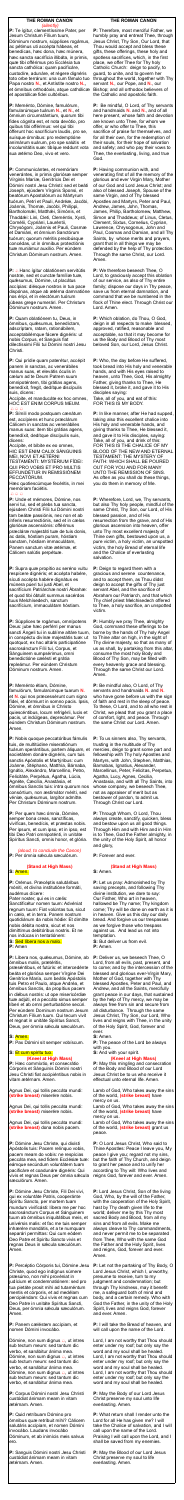#### **THE ROMAN CANON** *(silently)*

**P:** Te ígitur, clementíssime Pater, per Jesum Christum Fílium tuum, Dóminum nostrum, súpplices rogámus, ac pétimus uti accépta hábeas, et benedícas, hæc dona, hæc múnera, hæc sancta sacrifícia illibáta, in primis, quæ tibi offérimus pro Ecclésia tua sancta cathólica: quam pacificáre, custodíre, adunáre, et régere dignéris toto orbe terrárum: una cum fámulo tuo Papa nostro **N.**, et Antístite nostro **N.,** et ómnibus orthodóxis, atque cathólicæ et apostólicæ fidei cultóribus.

**P:** Meménto, Dómine, famulórum, famularúmque tuárum **N.**, et **N.**, et ómnium circumstántium, quorum tibi fides cógnita est, et nota devótio, pro quibus tibi offérimus: vel qui tibi ófferunt hoc sacrifícium laudis, pro se, suísque ómnibus: pro redemptióne animárum suárum, pro spe salútis et incolumitátis suæ: tibíque reddunt vota sua ætérno Deo, vivo et vero.

**P:** A Hanc ígitur oblatiónem servitútis nostræ, sed et cunctæ famíliæ tuæ, quǽsumus, Dómine, ut placátus accípias: diésque nostros in tua pace dispónas, atque ab ætérna damnatióne nos éripi, et in electórum tuórum júbeas grege numerári. Per Christum Dóminum nostrum. Amen.

**P:** Communicántes, et memóriam venerántes, in primis gloriósæ semper Vírginis Maríæ, Genitrícis Dei et Dómini nostri Jesu Christi: sed et beáti Joseph, ejúsdem Vírginis Sponsi, et beatórum Apostolórum ac Mártyrum tuórum, Petri et Pauli, Andréæ, Jacóbi, Joánnis, Thomæ, Jacóbi, Philíppi, Bartholomǽi, Matthǽi, Simónis, et Thaddǽi: Lini, Cleti, Cleméntis, Xysti, Cornélii, Cypriáni, Lauréntii, Chrysógoni, Joánnis et Pauli, Cosmæ et Damiáni, et ómnium Sanctórum tuórum; quorum méritis precibúsque concédas, ut in ómnibus protectiónis tuæ muniámur auxílio. Per eúndem Christum Dóminum nostrum. Amen.

**P:** Quam oblatiónem tu, Deus, in ómnibus, quæsumus, benedíctam, adscríptam, ratam, rationábilem, acceptabilémque fácere dignéris: ut nobis Corpus, et Sanguis fiat dilectíssimi Fílii tui Dómini nostri Jesu Christi.

**P:** Qui prídie quam paterétur, accépit panem in sanctas, ac venerábiles manus suas, et elevátis óculis in cælum ad te Deum Patrem suum omnipoténtem, tibi grátias agens, benedíxit, fregit, dedítque discípulis suis, dicens: Accípite, et manducáte ex hoc omnes, HOC EST ENIM CORPUS MEUM.  $\bigcirc$ **P:** Símili modo postquam cænátum est, accípiens et hunc præclárum Cálicem in sanctas ac venerábiles manus suas: item tibi grátias agens, benedíxit, dedítque discípulis suis, dicens:

*(aloud, to conclude the Canon)* **P:** Per ómnia sæcula sæculórum.

Accípite, et bíbite ex eo omnes, HIC EST ENIM CALIX SÁNGUINIS MEI, NOVI ET AETÉRNI TESTAMÉNTI: MYSTÉRIUM FÍDEI: QUI PRO VOBIS ET PRO MULTIS

EFFUNDÉTUR IN REMISSIÓNEM PECCATÓRUM.

**P:** Líbera nos, quésumus, Dómine, ab ómnibus malis, prætéritis,

præséntibus, et futúris: et intercedénte beáta et gloriósa semper Vírgine Dei Genitríce María, cum beátis Apóstolis tuis Petro et Paulo, atque Andréa, et ómnibus Sanctis, da propítius pacem in diébus nostris: ut ope misericórdiæ tuæ adjúti, et a peccáto simus semper líberi et ab omni perturbatióne secúri. Per eúndem Dominum nostrum Jesum Christum Fílium tuum. Qui tecum vivit et regnat in unitáte Spíritus Sancti, Deus, per ómnia sæcula sæculórum.

Hæc quotiescúmque fecéritis, in mei memóriam faciétis.

#### $\begin{picture}(130,15) \put(0,0){\vector(1,0){15}} \put(15,0){\vector(1,0){15}} \put(15,0){\vector(1,0){15}} \put(15,0){\vector(1,0){15}} \put(15,0){\vector(1,0){15}} \put(15,0){\vector(1,0){15}} \put(15,0){\vector(1,0){15}} \put(15,0){\vector(1,0){15}} \put(15,0){\vector(1,0){15}} \put(15,0){\vector(1,0){15}} \put(15,0){\vector(1,0){15}} \put(15,0){\vector($

**P:** Unde et mémores, Dómine, nos servi tui, sed et plebs tua sancta, ejúsdem Christi Fílii tui Dómini nostri tam beátæ passiónis, nec non et ab ínferis resurrectiónis, sed et in cælos gloriósæ ascensiónis: offérimus præcláræ majestáti tuæ de tuis donis, ac datis, hóstiam puram, hóstiam sanctam, hóstiam immaculátam, Panem sanctum vitæ ætérnæ, et Cálicem salútis perpétuæ.

**P:** Supra quæ propítio ac seréno vultu respícere dignéris; et accépta habére, sícuti accépta habére dignátus es múnera púeri tui justi Abel, et sacrifícium Patriárchæ nostri Ábrahæ: et quod tibi óbtulit summus sacérdos tuus Melchísedech, sanctum sacrifícium, immaculátam hóstiam.

**P:** Súpplices te rogámus, omnípotens Deus: jube hæc perférri per manus sancti Ángeli tui in sublíme altáre tuum, in conspéctu divínæ majestátis tuæ: ut quotquot, ex hac altáris participatióne sacrosánctum Fílii tui, Corpus, et Sánguinem sumpsérimus, omni benedictióne cælésti et grátia repleámur. Per eúndem Christum Dóminum nostrum. Amen.

Dómine, non sum dignus  $\triangle$ , ut intres sub tectum meum: sed tantum dic verbo, et sanábitur ánima mea. Dómine, non sum dignus  $\triangle$ , ut intres sub tectum meum: sed tantum dic verbo, et sanábitur ánima mea. Dómine, non sum dignus  $\triangle$ , ut intres sub tectum meum: sed tantum dic verbo, et sanábitur ánima mea.

**P:** Meménto étiam, Dómine, famulórum, famularúmque tuarum **N.** et **N.** qui nos præcessérunt cum signo fídei, et dórmiunt in somno pacis. Ipsis, Dómine, et ómnibus in Christo quiescéntibus, locum refrigérii, lucis et pacis, ut indúlgeas, deprecámur. Per eúndem Christum Dóminum nostrum. Amen.

**P:** Nobis quoque peccatóribus fámulis tuis, de multitúdine miseratiónum tuárum sperántibus, partem áliquam, et societátem donáre dignéris, cum tuis sanctis Apóstolis et Martýribus: cum Joánne, Stéphano, Matthía, Bárnaba, Ignátio, Alexándro, Marcellíno, Petro, Felicitáte, Perpétua, Ágatha, Lúcia, Agnéte, Cæcília, Anastásia, et ómnibus Sanctis tuis: intra quorum nos consórtium, non æstimátor mériti, sed véniæ, quæsumus, largítor admítte. Per Christum Dóminum nostrum.

**P:** Per quem hæc ómnia, Dómine, semper bona creas, sanctíficas, vivíficas, benedícis, et præstas nobis. Per ipsum, et cum ipso, et in ipso, est tibi Deo Patri omnipoténti, in unitáte Spíritus Sancti, omnis honor, et glória.

### **(Stand at High Mass)**

#### **S:** Amen.

**P:** Orémus. Præcéptis salutáribus móniti, et divína institutióne formáti, audémus dícere:

Pater noster, qui es in cælis: Sanctificétur nomen tuum: Advéniat regnum tuum: Fiat volúntas tua, sicut in cælo, et in terra. Panem nostrum quotidiánum da nobis hódie: Et dimítte nobis débita nostra, sicut et nos dimíttimus debitóribus nostris. Et ne nos indúcas in tentatiónem: **S:** Sed líbera nos a malo.

**P:** Amen

#### **S:** Amen.

**P:** Pax Dómini sit semper vobíscum.

#### **S:** Et cum spíritu tuo. **(Kneel at High Mass)**

**P:** Hæc commíxtio, et consecrátio Córporis et Sánguinis Dómini nostri Jesu Christi fiat accipiéntibus nobis in vitam ætérnam. Amen.

Agnus Dei, qui tollis peccáta mundi: **(strike breast)** miserére nobis.

Agnus Dei, qui tollis peccáta mundi: **(strike breast)** miserére nobis.

Agnus Dei, qui tollis peccáta mundi:

#### **(strike breast)** dona nobis pacem.

**P:** To us sinners also, Thy servants, trusting in the multitude of Thy mercies, deign to grant some part and fellowship with Thy holy Apostles and Martyrs, with John, Stephen, Matthias, Barnabas, Ignatius, Alexander, Marcellinus, Peter, Felicitas, Perpetua, Agatha, Lucy, Agnes, Cecilia, Anastasia, and with all Thy Saints, into whose company, we beseech Thee, not as appraiser of merit but as bestower of pardon, to admit us. Through Christ our Lord.

**P:** Dómine Jesu Christe, qui dixísti Apóstolis tuis: Pacem relínquo vobis, pacem meam do vobis: ne respícias peccáta mea, sed fidem Ecclésiæ tuæ: eámque secúndum voluntátem tuam pacificáre et coadunáre dignéris: Qui vivis et regnas Deus per ómnia sæcula sæculórum. Amen.

**P:** Dómine Jesu Christe, Fili Dei vivi, qui ex voluntáte Patris, cooperánte Spíritu Sancto, per mortem tuam mundum vivificásti: líbera me per hoc sacrosánctum Corpus et Sánguinem tuum ab ómnibus iniquitátibus meis, et univérsis malis: et fac me tuis semper inhærére mandátis, et a te numquam separári permíttas: Qui cum eódem Deo Patre et Spiritu Sancto vivis et regnas Deus in sæcula sæculórum. Amen.

**P:** Percéptio Córporis tui, Dómine Jesu Christe, quod ego indígnus súmere præsúmo, non mihi provéniat in judícium et condemnatiónem: sed pro tua pietáte prosit mihi ad tutaméntum mentis et córporis, et ad medélam percipiéndam: Qui vivis et regnas cum Deo Patre in unitáte Spíritus Sancti, Deus, per ómnia sæcula sæculórum. Amen.

**P:** Panem cæléstem accípiam, et nomen Dómini invocábo.

**P:** Corpus Dómini nostri Jesu Christi custódiat ánimam meam in vitam ætérnam. Amen.

**P:** Quid retríbuam Dómino pro ómnibus quæ retríbuit mihi? Cálicem salutáris accípiam, et nomen Dómini invocábo. Laudans invocábo Dóminum, et ab inimícis meis salvus ero.

**P:** Sanguis Dómini nostri Jesu Christi custódiat ánimam meam in vitam ætérnam. Amen.

### **THE ROMAN CANON**

**P:** Therefore, most merciful Father, we humbly pray and entreat Thee, through Jesus Christ, Thy Son, Our Lord, that Thou would accept and bless these gifts, these offerings, these holy and spotless sacrifices, which, in the first place, we offer Thee for Thy holy Catholic Church: deign to pacify, to guard, to unite, and to govern her throughout the world, together with Thy servant **N.**, our Pope, and **N.**, our Bishop; and all orthodox believers of the Catholic and apostolic faith.

**P:** Be mindful, O Lord, of Thy servants and handmaids **N.** and **N.**, and of all here present, whose faith and devotion are known unto Thee, for whom we offer, or who offer to Thee, this sacrifice of praise for themselves, and for all their own, for the redemption of their souls, for their hope of salvation and safety; and who pay their vows to Thee, the everlasting, living, and true God.

**P:** Having communion with, and venerating first of all the memory of the glorious and ever Virgin Mary, Mother of our God and Lord Jesus Christ; and also of blessed Joseph, Spouse of the same Virgin, and of Thy blessed Apostles and Martyrs, Peter and Paul, Andrew, James, John, Thomas, James, Philip, Bartholomew, Matthew, Simon and Thaddeus; of Linus, Cletus, Clement, Sixtus, Cornelius, Cyprian, Lawrence, Chrysogonus, John and Paul, Cosmas and Damian, and all Thy Saints, by whose merits and prayers, grant that in all things we may be defended by the help of Thy protection. Through the same Christ, our Lord. Amen.

**P:** We therefore beseech Thee, O Lord, to graciously accept this oblation of our service, as also of Thy entire family; dispose our days in Thy peace, save us from eternal damnation, and command that we be numbered in the flock of Thine elect. Through Christ our Lord. Amen.

**P:** Which oblation, do Thou, O God, deign in all respects to make blessed, approved, ratified, reasonable and acceptable, so that it may become for us the Body and Blood of Thy most beloved Son, our Lord, Jesus Christ.

**P:** Who, the day before He suffered, took bread into His holy and venerable hands, and with His eyes raised to heaven, unto Thee, God, His almighty Father, giving thanks to Thee, He blessed it, broke it, and gave it to His disciples saying: Take, all of you, and eat of this: FOR THIS IS MY BODY.

**P:** In like manner, after He had supped, taking also this excellent chalice into His holy and venerable hands, and giving thanks to Thee, He blessed it, and gave it to His disciples, saying: Take, all of you, and drink of this: FOR THIS IS THE CHALICE OF MY BLOOD OF THE NEW AND ETERNAL TESTAMENT: THE MYSTERY OF FAITH: WHICH SHALL BE POURED OUT FOR YOU AND FOR MANY UNTO THE REMISSION OF SINS. As often as you shall do these things, you do them in memory of Me.

**P:** Wherefore, Lord, we, Thy servants, but also Thy holy people, mindful of the same Christ, Thy Son, our Lord, of His blessed passion, and of His resurrection from the grave, and of His glorious ascension into heaven, offer unto Thy most excellent majesty of Thine own gifts, bestowed upon us, a pure victim, a holy victim, an unspotted victim, the holy Bread of eternal life and the Chalice of everlasting salvation.

**P:** Deign to regard them with a gracious and serene countenance, and to accept them, as Thou didst deign to accept the gifts of Thy just servant Abel, and the sacrifice of Abraham our Patriarch, and that which Thy chief priest Melchisedech offered to Thee, a holy sacrifice, an unspotted victim.

**P:** Humbly we pray Thee, almighty God, command these offerings to be borne by the hands of Thy holy Angel to Thine altar on high, in the sight of Thy divine majesty, so that as many of us as shall, by partaking from this altar, consume the most holy Body and Blood of Thy Son, may be filled with every heavenly grace and blessing. Through the same Christ our Lord. Amen.

**P:** Be mindful also, O Lord, of Thy servants and handmaids **N.** and **N.** who have gone before us with the sign of faith and rest in the sleep of peace. To these, O Lord, and to all who rest in Christ, we plead that you grant a place of comfort, light, and peace. Through the same Christ our Lord. Amen.

**P:** Through Whom, O Lord, Thou always create, sanctify, quicken, bless and bestow upon us all good things. Through Him and with Him and in Him is to Thee, God the Father almighty, in the unity of the Holy Spirit, all honor and glory,

**P:** Forever and ever.

### **(Stand at High Mass)**

**S:** Amen.

**P:** Let us pray: Admonished by Thy saving precepts, and following Thy divine institution, we dare to say: Our Father, Who art in heaven, hallowed be Thy name; Thy kingdom come; Thy will be done on earth as it is in heaven. Give us this day our daily bread. And forgive us our trespasses as we forgive those who trespass against us. And lead us not into temptation.

**S:** But deliver us from evil. **P:** Amen.

**P:** Deliver us, we beseech Thee, O Lord, from all evils, past, present, and to come; and by the intercession of the blessed and glorious ever-Virgin Mary, Mother of God, together with Thy blessed Apostles, Peter and Paul, and Andrew, and all the Saints, mercifully grant peace in our days, that sustained by the help of Thy mercy, we may be always free from sin and secure from all disturbance. Through the same Jesus Christ, Thy Son, our Lord, Who lives and reigns with Thee, in the unity of the Holy Spirit, God, forever and ever.

**S:** Amen.

**P:** The peace of the Lord be always with you.

**S:** And with your spirit.

#### **(Kneel at High Mass)**

**P:** May this mingling and consecration of the Body and Blood of our Lord Jesus Christ be to us who receive it effectual unto eternal life. Amen.

Lamb of God, Who takes away the sins of the world, **(strike breast)** have mercy on us.

Lamb of God, Who takes away the sins of the world, **(strike breast)** have mercy on us.

Lamb of God, Who takes away the sins

of the world, **(strike breast)** grant us peace.

**P:** O Lord Jesus Christ, Who said to Thine Apostles: Peace I leave you, My peace I give you; regard not my sins, but the faith of Thy Church, and deign to grant her peace and to unify her according to Thy will: Who lives and reigns God, forever and ever. Amen.

**P:** Lord Jesus Christ, Son of the living God, Who, by the will of the Father, with the cooperation of the Holy Spirit, hast by Thy death given life to the world; deliver me by this Thy most sacred Body and Blood, from all my sins and from all evils. Make me always cleave to Thy commandments, and never permit me to be separated from Thee, Who with the same God the Father and the Holy Spirit, lives and reigns, God, forever and ever. Amen.

**P:** Let not the partaking of Thy Body, O Lord Jesus Christ, which I, unworthy, presume to receive, turn to my judgment and condemnation; but through Thy kindness, may it benefit me, a safeguard both of mind and body, and a certain remedy. Who with God the Father, in the unity of the Holy Spirit, lives and reigns God, forever and ever. Amen.

**P:** I will take the Bread of heaven, and will call upon the name of the Lord.

Lord, I am not worthy that Thou should enter under my roof; but only say the word and my soul shall be healed. Lord, I am not worthy that Thou should enter under my roof; but only say the word and my soul shall be healed. Lord, I am not worthy that Thou should enter under my roof; but only say the word and my soul shall be healed.

**P:** May the Body of our Lord Jesus Christ preserve my soul unto life everlasting. Amen.

**P:** What return shall I render unto the Lord for all He has given me? I will take the Chalice of salvation, and I will call upon the name of the Lord. Praising I will call upon the Lord, and I shall be saved from my enemies.

**P:** May the Blood of our Lord Jesus Christ preserve my soul to life everlasting. Amen.